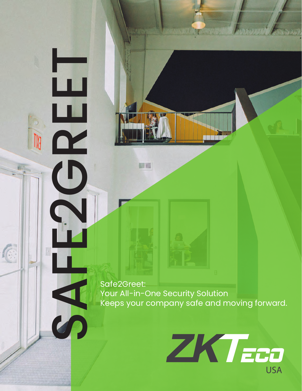SAFE2Greet: Your All-in-One Security Solution Keeps your company safe and moving forward.

(

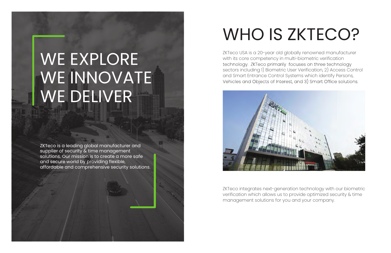# WE EXPLORE WE INNOVATE WE DELIVER

ZKTeco USA is a 20-year old globally renowned manufacturer with its core competency in multi-biometric verification<br>technology. ZKTeco primarily focuses on three technology sectors including 1) Biometric User Verification, 2) Access Control and Smart Entrance Control Systems which identify Persons,<br>Vehicles and Objects of Interest, and 3) Smart Office solutions.



ZKTeco is a leading global manufacturer and supplier of security & time management solutions. Our mission is to create a more safe and secure world by providing flexible, affordable and comprehensive security solutions.

# WHO IS ZKTECO?

ZKTeco integrates next-generation technology with our biometric verification which allows us to provide optimized security & time management solutions for you and your company.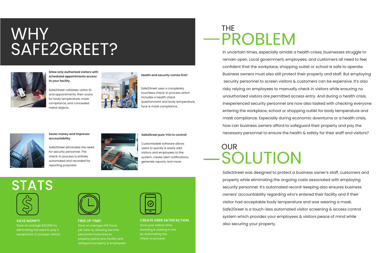### WHY SAFE2GREET?







**Allow only authorized visitors with scheduled appointments access to your facility.**

Safe2Greet validates visitor ID and appointments, then scans for body temperature, mask compliance, and concealed metal objects.



#### **Health and security comes first!**

Safe2Greet uses a completely touchless check-in process which includes a health check questionnaire and body temperature, face & mask compliance.



#### **Saves money and improves accountability.**

Safe2Greet eliminates the need for security personnel. The check-in process is entirely automated and recorded for reporting purposes.



#### **Safe2Greet puts YOU in control!**

Customizable software allows users to quickly & easily add visitors and employees to the system, create alert notifications, generate reports, and more.

#### **SAVE MONEY!**

Save on average \$22,000 by eliminating the need to pay a receptionist to process visitors.



#### **FREE UP TIME!**

Save on average 440 hours per year by allowing security personnel more time to properly patrol your facility and safeguard property & employees.



### SOLUTION **OUR**

#### **CREATE USER SATISFACTION**

Save your visitors time standing & waiting in line by automating the check-in process.

### PROBLEM THE

In uncertain times, especially amidst a health crises, businesses struggle to remain open. Local government, employees, and customers all need to feel confident that the workplace, shopping outlet or school is safe to operate. Business owners must also still protect their property and staff. But employing security personnel to screen visitors & customers can be expensive. It's also risky relying on employees to manually check in visitors while ensuring no unauthorized visitors are permitted access entry. And during a health crisis, inexperienced security personnel are now also tasked with checking everyone entering the workplace, school or shopping outlet for body temperature and mask compliance. Especially during economic downturns or a health crisis, how can business owners afford to safeguard their property and pay the necessary personnel to ensure the health & safety for their staff and visitors?

Safe2Greet was designed to protect a business owner's staff, customers and property while eliminating the ongoing costs associated with employing security personnel. It's automated record-keeping also ensures business owners' accountability regarding who's entered their facility and if their visitor had acceptable body temperature and was wearing a mask. Safe2Greet is a touch-less automated visitor screening & access control system which provides your employees & visitors peace of mind while also securing your property.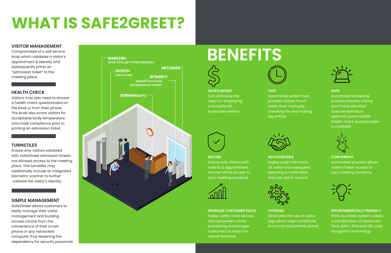# **WHAT IS SAFE2GREET?**

## **BENEFITS**





#### **VISITOR MANAGEMENT**

Compromised of a self service kiosk which validates a visitor's appointment & Identity and subsequently prints an "admission ticket" to the meeting place.

#### **HEALTH CHECK**

Visitors may also need to answer a health check questionnaire on the kiosk or from their phone. The kiosk also scans visitors for acceptable body temperature and mask compliance prior to printing an admission ticket.

#### **TURNSTILES**

Ensure only visitors validated with Safe2Greet admission tickets are allowed access to the meeting place. The turnstiles may additionally include an integrated biometric scanner to further validate the visitor's identity.

#### **SIMPLE MANAGEMENT**

Safe2Greet allows customers to easily manage their visitor management and building access control from the convenience of their smart phone or any networked computer thus lessening the dependency for security personnel.

### **SAVES MONEY** Can eliminate the need for employing a receptionist to process visitors



Automated system can process visitors much checking IDs and making

**FAST** faster than manually log entries



#### **SAFE**

Automated screening process ensures visitors don't have elevated body temperature, optional customizable health check questionnaire is available



### **SECURE**

Ensure only visitors with valid ID & appointment are permitted access to your meeting locations



**ACCOUNTABLE** Digital audit trail tracks all visitors for susequent reporting & notification and can aid in contact





**CONVENIENT** Automated process allows visitors faster access to your meeting locations



#### **INCREASE CUSTOMER SALES** Faster, safer, more secure, and convenient visitor processing encourages customers to return for repeat business



**HYGIENIC** Eliminates the use of visitor logs which helps contribute to a more sustainable planet

**ENVIRONMENTALLY FRIENDLY** 100% touchless system utilizes a combination of advanced face, palm, RFId and QR code recogntion technology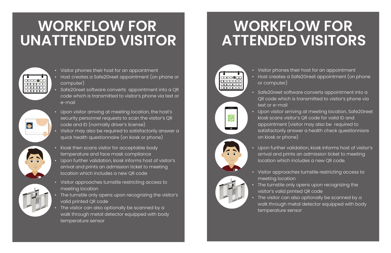### **WORKFLOW FOR UNATTENDED VISITOR**

• Visitor phones their host for an appointment • Host creates a Safe2Greet appointment (on phone

• Safe2Greet software converts appointment into a QR code which is transmitted to visitor's phone via

The visitor can also optionally be scanned by a walk through metal detector equipped with body

• Upon visitor arriving at meeting location, Safe2Greet kiosk scans visitor's QR code for valid ID and appointment (visitor may also be required to satisfactorily answer a health check questionniare

- 
- or computer)
- text or e-mail
- on kiosk or phone)
- 
- meeting location
- 
- temperature sensor

• Upon further validation, kiosk informs host of visitor's arrival and prints an admission ticket to meeting location which includes a new QR code.

### **WORKFLOW FOR ATTENDED VISITORS**



靈

• Visitor approaches turnstile restricting access to

• The turnstile only opens upon recognizing the visitor's valid printed QR code

• Visitor phones their host for an appointment

nananan

 $\bullet$ 

- Host creates a Safe2Greet appointment (on phone or computer)
- Safe2Greet software converts appointment into a QR code which is transmitted to visitor's phone via text or e-mail
- Upon visitor arriving at meeting location, the host's security personnel requests to scan the visitor's QR code and ID (normally driver's license)
- Visitor may also be required to satisfactorily answer a quick health questionnaire (on kiosk or phone)
- Kiosk then scans visitor for acceptable body temperature and face mask compliance
- Upon further validation, kiosk informs host of visitor's arrival and prints an admission ticket to meeting location which includes a new QR code
- Visitor approaches turnstile restricting access to meeting location
- The turnstile only opens upon recognizing the visitor's valid printed QR code
- The visitor can also optionally be scanned by a walk through metal detector equipped with body temperature sensor